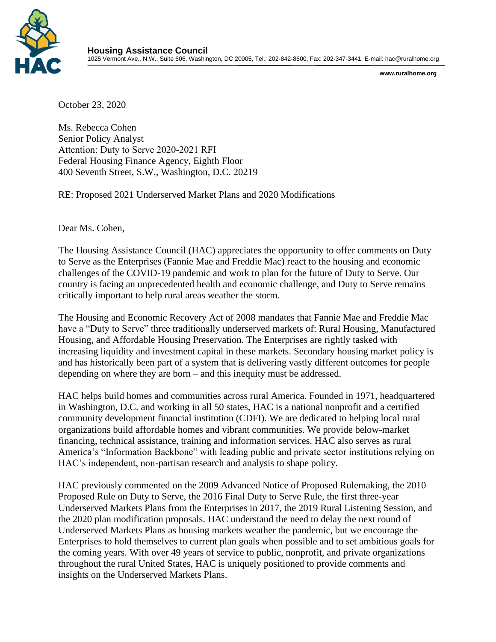

**www.ruralhome.org** 

October 23, 2020

Ms. Rebecca Cohen Senior Policy Analyst Attention: Duty to Serve 2020‐2021 RFI Federal Housing Finance Agency, Eighth Floor 400 Seventh Street, S.W., Washington, D.C. 20219

RE: Proposed 2021 Underserved Market Plans and 2020 Modifications

Dear Ms. Cohen,

The Housing Assistance Council (HAC) appreciates the opportunity to offer comments on Duty to Serve as the Enterprises (Fannie Mae and Freddie Mac) react to the housing and economic challenges of the COVID-19 pandemic and work to plan for the future of Duty to Serve. Our country is facing an unprecedented health and economic challenge, and Duty to Serve remains critically important to help rural areas weather the storm.

The Housing and Economic Recovery Act of 2008 mandates that Fannie Mae and Freddie Mac have a "Duty to Serve" three traditionally underserved markets of: Rural Housing, Manufactured Housing, and Affordable Housing Preservation. The Enterprises are rightly tasked with increasing liquidity and investment capital in these markets. Secondary housing market policy is and has historically been part of a system that is delivering vastly different outcomes for people depending on where they are born – and this inequity must be addressed.

HAC helps build homes and communities across rural America. Founded in 1971, headquartered in Washington, D.C. and working in all 50 states, HAC is a national nonprofit and a certified community development financial institution (CDFI). We are dedicated to helping local rural organizations build affordable homes and vibrant communities. We provide below-market financing, technical assistance, training and information services. HAC also serves as rural America's "Information Backbone" with leading public and private sector institutions relying on HAC's independent, non-partisan research and analysis to shape policy.

HAC previously commented on the 2009 Advanced Notice of Proposed Rulemaking, the 2010 Proposed Rule on Duty to Serve, the 2016 Final Duty to Serve Rule, the first three-year Underserved Markets Plans from the Enterprises in 2017, the 2019 Rural Listening Session, and the 2020 plan modification proposals. HAC understand the need to delay the next round of Underserved Markets Plans as housing markets weather the pandemic, but we encourage the Enterprises to hold themselves to current plan goals when possible and to set ambitious goals for the coming years. With over 49 years of service to public, nonprofit, and private organizations throughout the rural United States, HAC is uniquely positioned to provide comments and insights on the Underserved Markets Plans.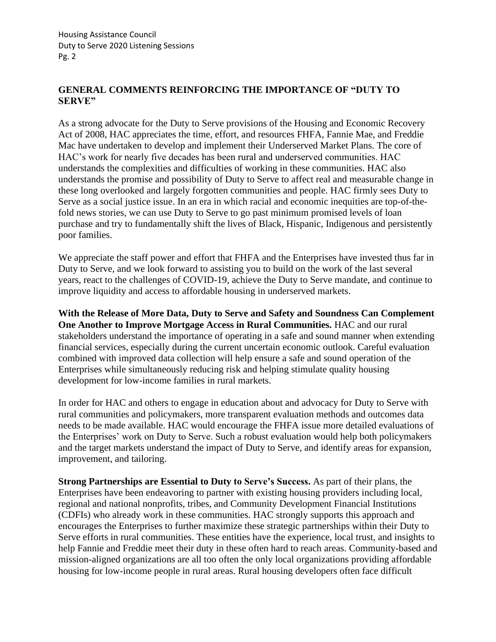# **GENERAL COMMENTS REINFORCING THE IMPORTANCE OF "DUTY TO SERVE"**

As a strong advocate for the Duty to Serve provisions of the Housing and Economic Recovery Act of 2008, HAC appreciates the time, effort, and resources FHFA, Fannie Mae, and Freddie Mac have undertaken to develop and implement their Underserved Market Plans. The core of HAC's work for nearly five decades has been rural and underserved communities. HAC understands the complexities and difficulties of working in these communities. HAC also understands the promise and possibility of Duty to Serve to affect real and measurable change in these long overlooked and largely forgotten communities and people. HAC firmly sees Duty to Serve as a social justice issue. In an era in which racial and economic inequities are top-of-thefold news stories, we can use Duty to Serve to go past minimum promised levels of loan purchase and try to fundamentally shift the lives of Black, Hispanic, Indigenous and persistently poor families.

We appreciate the staff power and effort that FHFA and the Enterprises have invested thus far in Duty to Serve, and we look forward to assisting you to build on the work of the last several years, react to the challenges of COVID-19, achieve the Duty to Serve mandate, and continue to improve liquidity and access to affordable housing in underserved markets.

**With the Release of More Data, Duty to Serve and Safety and Soundness Can Complement One Another to Improve Mortgage Access in Rural Communities.** HAC and our rural stakeholders understand the importance of operating in a safe and sound manner when extending financial services, especially during the current uncertain economic outlook. Careful evaluation combined with improved data collection will help ensure a safe and sound operation of the Enterprises while simultaneously reducing risk and helping stimulate quality housing development for low-income families in rural markets.

In order for HAC and others to engage in education about and advocacy for Duty to Serve with rural communities and policymakers, more transparent evaluation methods and outcomes data needs to be made available. HAC would encourage the FHFA issue more detailed evaluations of the Enterprises' work on Duty to Serve. Such a robust evaluation would help both policymakers and the target markets understand the impact of Duty to Serve, and identify areas for expansion, improvement, and tailoring.

**Strong Partnerships are Essential to Duty to Serve's Success.** As part of their plans, the Enterprises have been endeavoring to partner with existing housing providers including local, regional and national nonprofits, tribes, and Community Development Financial Institutions (CDFIs) who already work in these communities. HAC strongly supports this approach and encourages the Enterprises to further maximize these strategic partnerships within their Duty to Serve efforts in rural communities. These entities have the experience, local trust, and insights to help Fannie and Freddie meet their duty in these often hard to reach areas. Community-based and mission-aligned organizations are all too often the only local organizations providing affordable housing for low-income people in rural areas. Rural housing developers often face difficult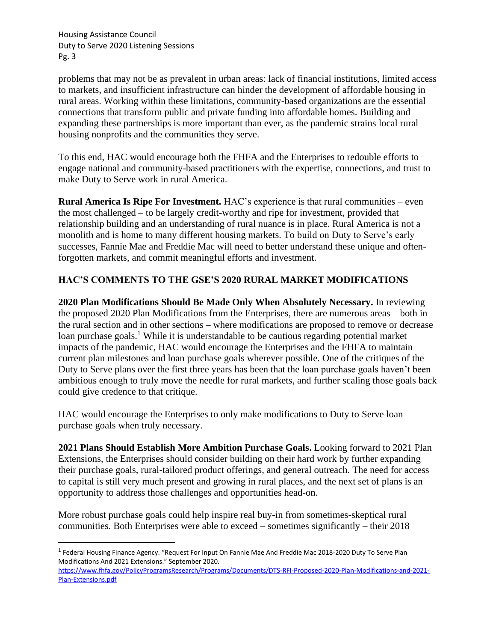problems that may not be as prevalent in urban areas: lack of financial institutions, limited access to markets, and insufficient infrastructure can hinder the development of affordable housing in rural areas. Working within these limitations, community-based organizations are the essential connections that transform public and private funding into affordable homes. Building and expanding these partnerships is more important than ever, as the pandemic strains local rural housing nonprofits and the communities they serve.

To this end, HAC would encourage both the FHFA and the Enterprises to redouble efforts to engage national and community-based practitioners with the expertise, connections, and trust to make Duty to Serve work in rural America.

**Rural America Is Ripe For Investment.** HAC's experience is that rural communities – even the most challenged – to be largely credit-worthy and ripe for investment, provided that relationship building and an understanding of rural nuance is in place. Rural America is not a monolith and is home to many different housing markets. To build on Duty to Serve's early successes, Fannie Mae and Freddie Mac will need to better understand these unique and oftenforgotten markets, and commit meaningful efforts and investment.

# **HAC'S COMMENTS TO THE GSE'S 2020 RURAL MARKET MODIFICATIONS**

**2020 Plan Modifications Should Be Made Only When Absolutely Necessary.** In reviewing the proposed 2020 Plan Modifications from the Enterprises, there are numerous areas – both in the rural section and in other sections – where modifications are proposed to remove or decrease loan purchase goals.<sup>1</sup> While it is understandable to be cautious regarding potential market impacts of the pandemic, HAC would encourage the Enterprises and the FHFA to maintain current plan milestones and loan purchase goals wherever possible. One of the critiques of the Duty to Serve plans over the first three years has been that the loan purchase goals haven't been ambitious enough to truly move the needle for rural markets, and further scaling those goals back could give credence to that critique.

HAC would encourage the Enterprises to only make modifications to Duty to Serve loan purchase goals when truly necessary.

**2021 Plans Should Establish More Ambition Purchase Goals.** Looking forward to 2021 Plan Extensions, the Enterprises should consider building on their hard work by further expanding their purchase goals, rural-tailored product offerings, and general outreach. The need for access to capital is still very much present and growing in rural places, and the next set of plans is an opportunity to address those challenges and opportunities head-on.

More robust purchase goals could help inspire real buy-in from sometimes-skeptical rural communities. Both Enterprises were able to exceed – sometimes significantly – their 2018

[https://www.fhfa.gov/PolicyProgramsResearch/Programs/Documents/DTS-RFI-Proposed-2020-Plan-Modifications-and-2021-](https://www.fhfa.gov/PolicyProgramsResearch/Programs/Documents/DTS-RFI-Proposed-2020-Plan-Modifications-and-2021-Plan-Extensions.pdf) [Plan-Extensions.pdf](https://www.fhfa.gov/PolicyProgramsResearch/Programs/Documents/DTS-RFI-Proposed-2020-Plan-Modifications-and-2021-Plan-Extensions.pdf)

<sup>&</sup>lt;sup>1</sup> Federal Housing Finance Agency. "Request For Input On Fannie Mae And Freddie Mac 2018-2020 Duty To Serve Plan Modifications And 2021 Extensions." September 2020.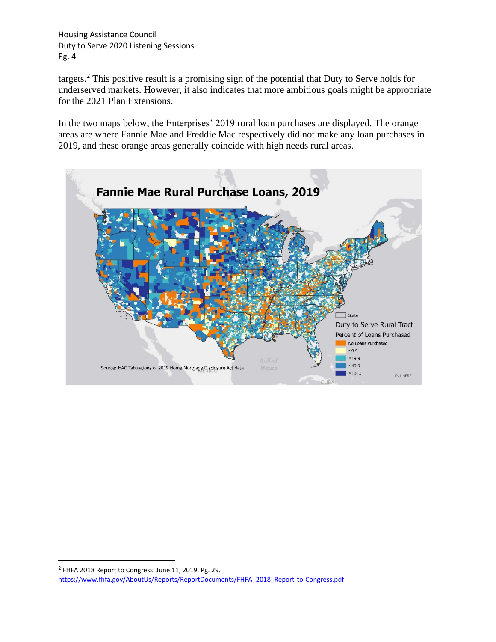targets.<sup>2</sup> This positive result is a promising sign of the potential that Duty to Serve holds for underserved markets. However, it also indicates that more ambitious goals might be appropriate for the 2021 Plan Extensions.

In the two maps below, the Enterprises' 2019 rural loan purchases are displayed. The orange areas are where Fannie Mae and Freddie Mac respectively did not make any loan purchases in 2019, and these orange areas generally coincide with high needs rural areas.



 $2$  FHFA 2018 Report to Congress. June 11, 2019. Pg. 29. [https://www.fhfa.gov/AboutUs/Reports/ReportDocuments/FHFA\\_2018\\_Report-to-Congress.pdf](https://www.fhfa.gov/AboutUs/Reports/ReportDocuments/FHFA_2018_Report-to-Congress.pdf)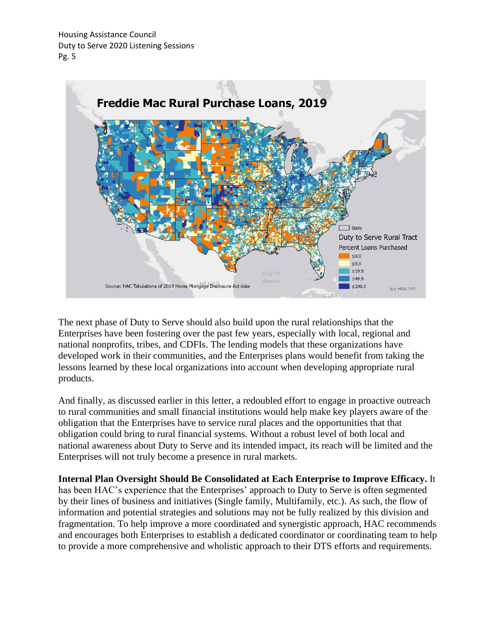

The next phase of Duty to Serve should also build upon the rural relationships that the Enterprises have been fostering over the past few years, especially with local, regional and national nonprofits, tribes, and CDFIs. The lending models that these organizations have developed work in their communities, and the Enterprises plans would benefit from taking the lessons learned by these local organizations into account when developing appropriate rural products.

And finally, as discussed earlier in this letter, a redoubled effort to engage in proactive outreach to rural communities and small financial institutions would help make key players aware of the obligation that the Enterprises have to service rural places and the opportunities that that obligation could bring to rural financial systems. Without a robust level of both local and national awareness about Duty to Serve and its intended impact, its reach will be limited and the Enterprises will not truly become a presence in rural markets.

**Internal Plan Oversight Should Be Consolidated at Each Enterprise to Improve Efficacy.** It has been HAC's experience that the Enterprises' approach to Duty to Serve is often segmented by their lines of business and initiatives (Single family, Multifamily, etc.). As such, the flow of information and potential strategies and solutions may not be fully realized by this division and fragmentation. To help improve a more coordinated and synergistic approach, HAC recommends and encourages both Enterprises to establish a dedicated coordinator or coordinating team to help to provide a more comprehensive and wholistic approach to their DTS efforts and requirements.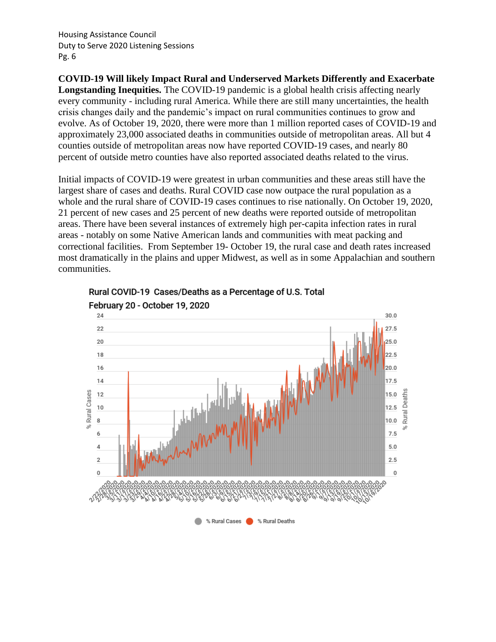**COVID-19 Will likely Impact Rural and Underserved Markets Differently and Exacerbate Longstanding Inequities.** The COVID-19 pandemic is a global health crisis affecting nearly every community - including rural America. While there are still many uncertainties, the health crisis changes daily and the pandemic's impact on rural communities continues to grow and evolve. As of October 19, 2020, there were more than 1 million reported cases of COVID-19 and approximately 23,000 associated deaths in communities outside of metropolitan areas. All but 4 counties outside of metropolitan areas now have reported COVID-19 cases, and nearly 80 percent of outside metro counties have also reported associated deaths related to the virus.

Initial impacts of COVID-19 were greatest in urban communities and these areas still have the largest share of cases and deaths. Rural COVID case now outpace the rural population as a whole and the rural share of COVID-19 cases continues to rise nationally. On October 19, 2020, 21 percent of new cases and 25 percent of new deaths were reported outside of metropolitan areas. There have been several instances of extremely high per-capita infection rates in rural areas - notably on some Native American lands and communities with meat packing and correctional facilities. From September 19- October 19, the rural case and death rates increased most dramatically in the plains and upper Midwest, as well as in some Appalachian and southern communities.



Rural COVID-19 Cases/Deaths as a Percentage of U.S. Total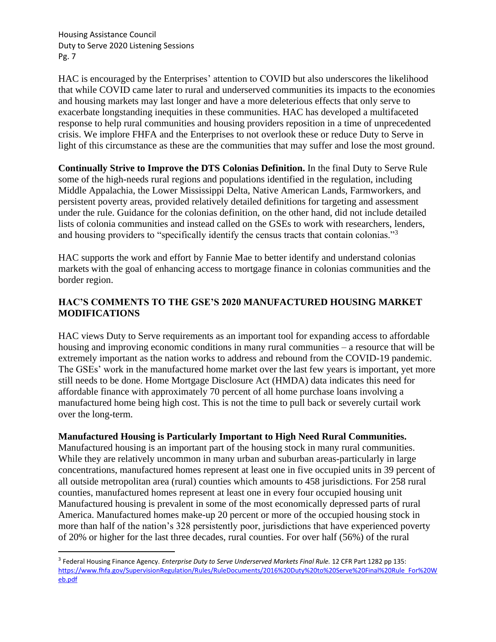HAC is encouraged by the Enterprises' attention to COVID but also underscores the likelihood that while COVID came later to rural and underserved communities its impacts to the economies and housing markets may last longer and have a more deleterious effects that only serve to exacerbate longstanding inequities in these communities. HAC has developed a multifaceted response to help rural communities and housing providers reposition in a time of unprecedented crisis. We implore FHFA and the Enterprises to not overlook these or reduce Duty to Serve in light of this circumstance as these are the communities that may suffer and lose the most ground.

**Continually Strive to Improve the DTS Colonias Definition.** In the final Duty to Serve Rule some of the high-needs rural regions and populations identified in the regulation, including Middle Appalachia, the Lower Mississippi Delta, Native American Lands, Farmworkers, and persistent poverty areas, provided relatively detailed definitions for targeting and assessment under the rule. Guidance for the colonias definition, on the other hand, did not include detailed lists of colonia communities and instead called on the GSEs to work with researchers, lenders, and housing providers to "specifically identify the census tracts that contain colonias."<sup>3</sup>

HAC supports the work and effort by Fannie Mae to better identify and understand colonias markets with the goal of enhancing access to mortgage finance in colonias communities and the border region.

# **HAC'S COMMENTS TO THE GSE'S 2020 MANUFACTURED HOUSING MARKET MODIFICATIONS**

HAC views Duty to Serve requirements as an important tool for expanding access to affordable housing and improving economic conditions in many rural communities – a resource that will be extremely important as the nation works to address and rebound from the COVID-19 pandemic. The GSEs' work in the manufactured home market over the last few years is important, yet more still needs to be done. Home Mortgage Disclosure Act (HMDA) data indicates this need for affordable finance with approximately 70 percent of all home purchase loans involving a manufactured home being high cost. This is not the time to pull back or severely curtail work over the long-term.

# **Manufactured Housing is Particularly Important to High Need Rural Communities.**

Manufactured housing is an important part of the housing stock in many rural communities. While they are relatively uncommon in many urban and suburban areas-particularly in large concentrations, manufactured homes represent at least one in five occupied units in 39 percent of all outside metropolitan area (rural) counties which amounts to 458 jurisdictions. For 258 rural counties, manufactured homes represent at least one in every four occupied housing unit Manufactured housing is prevalent in some of the most economically depressed parts of rural America. Manufactured homes make-up 20 percent or more of the occupied housing stock in more than half of the nation's 328 persistently poor, jurisdictions that have experienced poverty of 20% or higher for the last three decades, rural counties. For over half (56%) of the rural

<sup>3</sup> Federal Housing Finance Agency. *Enterprise Duty to Serve Underserved Markets Final Rule.* 12 CFR Part 1282 pp 135: [https://www.fhfa.gov/SupervisionRegulation/Rules/RuleDocuments/2016%20Duty%20to%20Serve%20Final%20Rule\\_For%20W](https://www.fhfa.gov/SupervisionRegulation/Rules/RuleDocuments/2016%20Duty%20to%20Serve%20Final%20Rule_For%20Web.pdf) [eb.pdf](https://www.fhfa.gov/SupervisionRegulation/Rules/RuleDocuments/2016%20Duty%20to%20Serve%20Final%20Rule_For%20Web.pdf)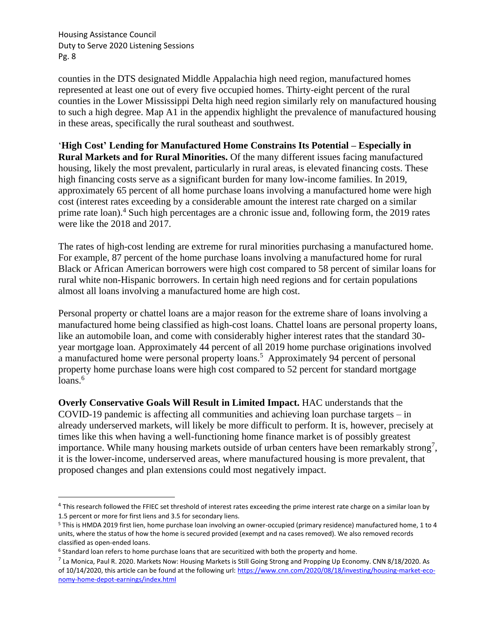counties in the DTS designated Middle Appalachia high need region, manufactured homes represented at least one out of every five occupied homes. Thirty-eight percent of the rural counties in the Lower Mississippi Delta high need region similarly rely on manufactured housing to such a high degree. Map A1 in the appendix highlight the prevalence of manufactured housing in these areas, specifically the rural southeast and southwest.

'**High Cost' Lending for Manufactured Home Constrains Its Potential – Especially in** 

**Rural Markets and for Rural Minorities.** Of the many different issues facing manufactured housing, likely the most prevalent, particularly in rural areas, is elevated financing costs. These high financing costs serve as a significant burden for many low-income families. In 2019, approximately 65 percent of all home purchase loans involving a manufactured home were high cost (interest rates exceeding by a considerable amount the interest rate charged on a similar prime rate loan).<sup>4</sup> Such high percentages are a chronic issue and, following form, the 2019 rates were like the 2018 and 2017.

The rates of high-cost lending are extreme for rural minorities purchasing a manufactured home. For example, 87 percent of the home purchase loans involving a manufactured home for rural Black or African American borrowers were high cost compared to 58 percent of similar loans for rural white non-Hispanic borrowers. In certain high need regions and for certain populations almost all loans involving a manufactured home are high cost.

Personal property or chattel loans are a major reason for the extreme share of loans involving a manufactured home being classified as high-cost loans. Chattel loans are personal property loans, like an automobile loan, and come with considerably higher interest rates that the standard 30 year mortgage loan. Approximately 44 percent of all 2019 home purchase originations involved a manufactured home were personal property loans.<sup>5</sup> Approximately 94 percent of personal property home purchase loans were high cost compared to 52 percent for standard mortgage  $loans.<sup>6</sup>$ 

**Overly Conservative Goals Will Result in Limited Impact.** HAC understands that the COVID-19 pandemic is affecting all communities and achieving loan purchase targets – in already underserved markets, will likely be more difficult to perform. It is, however, precisely at times like this when having a well-functioning home finance market is of possibly greatest importance. While many housing markets outside of urban centers have been remarkably strong<sup>7</sup>, it is the lower-income, underserved areas, where manufactured housing is more prevalent, that proposed changes and plan extensions could most negatively impact.

<sup>&</sup>lt;sup>4</sup> This research followed the FFIEC set threshold of interest rates exceeding the prime interest rate charge on a similar loan by 1.5 percent or more for first liens and 3.5 for secondary liens.

<sup>5</sup> This is HMDA 2019 first lien, home purchase loan involving an owner-occupied (primary residence) manufactured home, 1 to 4 units, where the status of how the home is secured provided (exempt and na cases removed). We also removed records classified as open-ended loans.

<sup>&</sup>lt;sup>6</sup> Standard loan refers to home purchase loans that are securitized with both the property and home.

<sup>&</sup>lt;sup>7</sup> La Monica, Paul R. 2020. Markets Now: Housing Markets is Still Going Strong and Propping Up Economy. CNN 8/18/2020. As of 10/14/2020, this article can be found at the following url[: https://www.cnn.com/2020/08/18/investing/housing-market-eco](https://www.cnn.com/2020/08/18/investing/housing-market-eco-nomy-home-depot-earnings/index.html)[nomy-home-depot-earnings/index.html](https://www.cnn.com/2020/08/18/investing/housing-market-eco-nomy-home-depot-earnings/index.html)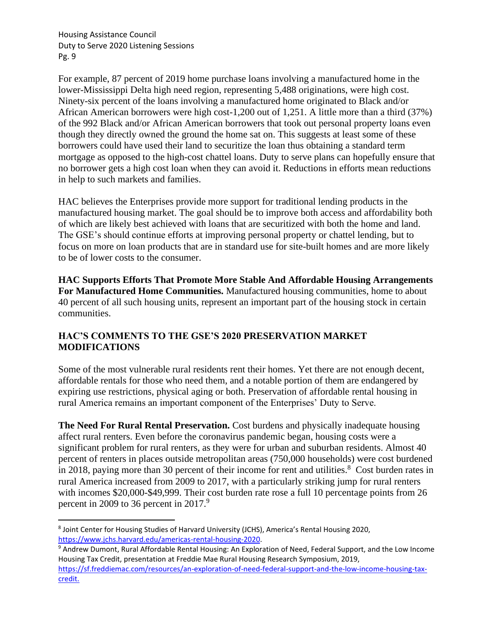For example, 87 percent of 2019 home purchase loans involving a manufactured home in the lower-Mississippi Delta high need region, representing 5,488 originations, were high cost. Ninety-six percent of the loans involving a manufactured home originated to Black and/or African American borrowers were high cost-1,200 out of 1,251. A little more than a third (37%) of the 992 Black and/or African American borrowers that took out personal property loans even though they directly owned the ground the home sat on. This suggests at least some of these borrowers could have used their land to securitize the loan thus obtaining a standard term mortgage as opposed to the high-cost chattel loans. Duty to serve plans can hopefully ensure that no borrower gets a high cost loan when they can avoid it. Reductions in efforts mean reductions in help to such markets and families.

HAC believes the Enterprises provide more support for traditional lending products in the manufactured housing market. The goal should be to improve both access and affordability both of which are likely best achieved with loans that are securitized with both the home and land. The GSE's should continue efforts at improving personal property or chattel lending, but to focus on more on loan products that are in standard use for site-built homes and are more likely to be of lower costs to the consumer.

**HAC Supports Efforts That Promote More Stable And Affordable Housing Arrangements For Manufactured Home Communities.** Manufactured housing communities, home to about 40 percent of all such housing units, represent an important part of the housing stock in certain communities.

# **HAC'S COMMENTS TO THE GSE'S 2020 PRESERVATION MARKET MODIFICATIONS**

Some of the most vulnerable rural residents rent their homes. Yet there are not enough decent, affordable rentals for those who need them, and a notable portion of them are endangered by expiring use restrictions, physical aging or both. Preservation of affordable rental housing in rural America remains an important component of the Enterprises' Duty to Serve.

**The Need For Rural Rental Preservation.** Cost burdens and physically inadequate housing affect rural renters. Even before the coronavirus pandemic began, housing costs were a significant problem for rural renters, as they were for urban and suburban residents. Almost 40 percent of renters in places outside metropolitan areas (750,000 households) were cost burdened in 2018, paying more than 30 percent of their income for rent and utilities.<sup>8</sup> Cost burden rates in rural America increased from 2009 to 2017, with a particularly striking jump for rural renters with incomes \$20,000-\$49,999. Their cost burden rate rose a full 10 percentage points from 26 percent in 2009 to 36 percent in 2017.<sup>9</sup>

<sup>&</sup>lt;sup>8</sup> Joint Center for Housing Studies of Harvard University (JCHS), America's Rental Housing 2020, [https://www.jchs.harvard.edu/americas-rental-housing-2020.](https://www.jchs.harvard.edu/americas-rental-housing-2020)

<sup>9</sup> Andrew Dumont, Rural Affordable Rental Housing: An Exploration of Need, Federal Support, and the Low Income Housing Tax Credit, presentation at Freddie Mae Rural Housing Research Symposium, 2019, [https://sf.freddiemac.com/resources/an-exploration-of-need-federal-support-and-the-low-income-housing-tax](https://sf.freddiemac.com/resources/an-exploration-of-need-federal-support-and-the-low-income-housing-tax-credit)[credit.](https://sf.freddiemac.com/resources/an-exploration-of-need-federal-support-and-the-low-income-housing-tax-credit)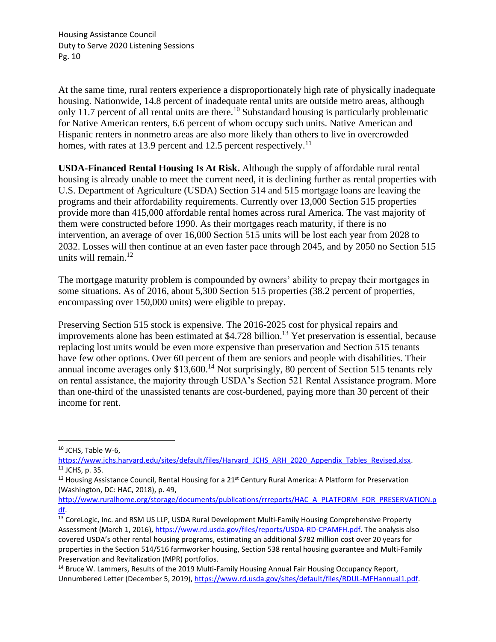At the same time, rural renters experience a disproportionately high rate of physically inadequate housing. Nationwide, 14.8 percent of inadequate rental units are outside metro areas, although only 11.7 percent of all rental units are there.<sup>10</sup> Substandard housing is particularly problematic for Native American renters, 6.6 percent of whom occupy such units. Native American and Hispanic renters in nonmetro areas are also more likely than others to live in overcrowded homes, with rates at 13.9 percent and 12.5 percent respectively.<sup>11</sup>

**USDA-Financed Rental Housing Is At Risk.** Although the supply of affordable rural rental housing is already unable to meet the current need, it is declining further as rental properties with U.S. Department of Agriculture (USDA) Section 514 and 515 mortgage loans are leaving the programs and their affordability requirements. Currently over 13,000 Section 515 properties provide more than 415,000 affordable rental homes across rural America. The vast majority of them were constructed before 1990. As their mortgages reach maturity, if there is no intervention, an average of over 16,000 Section 515 units will be lost each year from 2028 to 2032. Losses will then continue at an even faster pace through 2045, and by 2050 no Section 515 units will remain. $^{12}$ 

The mortgage maturity problem is compounded by owners' ability to prepay their mortgages in some situations. As of 2016, about 5,300 Section 515 properties (38.2 percent of properties, encompassing over 150,000 units) were eligible to prepay.

Preserving Section 515 stock is expensive. The 2016-2025 cost for physical repairs and improvements alone has been estimated at  $$4.728$  billion.<sup>13</sup> Yet preservation is essential, because replacing lost units would be even more expensive than preservation and Section 515 tenants have few other options. Over 60 percent of them are seniors and people with disabilities. Their annual income averages only  $$13,600$ .<sup>14</sup> Not surprisingly, 80 percent of Section 515 tenants rely on rental assistance, the majority through USDA's Section 521 Rental Assistance program. More than one-third of the unassisted tenants are cost-burdened, paying more than 30 percent of their income for rent.

<sup>10</sup> JCHS, Table W-6,

https://www.jchs.harvard.edu/sites/default/files/Harvard JCHS\_ARH\_2020\_Appendix\_Tables\_Revised.xlsx. <sup>11</sup> JCHS, p. 35.

<sup>&</sup>lt;sup>12</sup> Housing Assistance Council, Rental Housing for a 21<sup>st</sup> Century Rural America: A Platform for Preservation (Washington, DC: HAC, 2018), p. 49,

[http://www.ruralhome.org/storage/documents/publications/rrreports/HAC\\_A\\_PLATFORM\\_FOR\\_PRESERVATION.p](http://www.ruralhome.org/storage/documents/publications/rrreports/HAC_A_PLATFORM_FOR_PRESERVATION.pdf) [df.](http://www.ruralhome.org/storage/documents/publications/rrreports/HAC_A_PLATFORM_FOR_PRESERVATION.pdf)

<sup>&</sup>lt;sup>13</sup> CoreLogic, Inc. and RSM US LLP, USDA Rural Development Multi-Family Housing Comprehensive Property Assessment (March 1, 2016), [https://www.rd.usda.gov/files/reports/USDA-RD-CPAMFH.pdf.](https://www.rd.usda.gov/files/reports/USDA-RD-CPAMFH.pdf) The analysis also covered USDA's other rental housing programs, estimating an additional \$782 million cost over 20 years for properties in the Section 514/516 farmworker housing, Section 538 rental housing guarantee and Multi-Family Preservation and Revitalization (MPR) portfolios.

<sup>&</sup>lt;sup>14</sup> Bruce W. Lammers, Results of the 2019 Multi-Family Housing Annual Fair Housing Occupancy Report, Unnumbered Letter (December 5, 2019), [https://www.rd.usda.gov/sites/default/files/RDUL-MFHannual1.pdf.](https://www.rd.usda.gov/sites/default/files/RDUL-MFHannual1.pdf)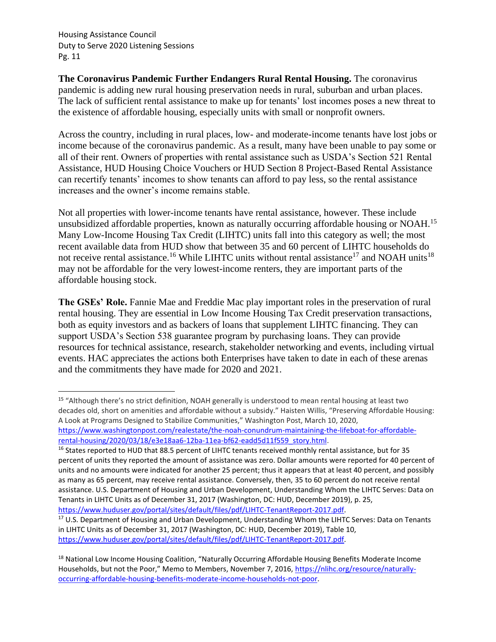**The Coronavirus Pandemic Further Endangers Rural Rental Housing.** The coronavirus pandemic is adding new rural housing preservation needs in rural, suburban and urban places. The lack of sufficient rental assistance to make up for tenants' lost incomes poses a new threat to the existence of affordable housing, especially units with small or nonprofit owners.

Across the country, including in rural places, low- and moderate-income tenants have lost jobs or income because of the coronavirus pandemic. As a result, many have been unable to pay some or all of their rent. Owners of properties with rental assistance such as USDA's Section 521 Rental Assistance, HUD Housing Choice Vouchers or HUD Section 8 Project-Based Rental Assistance can recertify tenants' incomes to show tenants can afford to pay less, so the rental assistance increases and the owner's income remains stable.

Not all properties with lower-income tenants have rental assistance, however. These include unsubsidized affordable properties, known as naturally occurring affordable housing or NOAH.<sup>15</sup> Many Low-Income Housing Tax Credit (LIHTC) units fall into this category as well; the most recent available data from HUD show that between 35 and 60 percent of LIHTC households do not receive rental assistance.<sup>16</sup> While LIHTC units without rental assistance<sup>17</sup> and NOAH units<sup>18</sup> may not be affordable for the very lowest-income renters, they are important parts of the affordable housing stock.

**The GSEs' Role.** Fannie Mae and Freddie Mac play important roles in the preservation of rural rental housing. They are essential in Low Income Housing Tax Credit preservation transactions, both as equity investors and as backers of loans that supplement LIHTC financing. They can support USDA's Section 538 guarantee program by purchasing loans. They can provide resources for technical assistance, research, stakeholder networking and events, including virtual events. HAC appreciates the actions both Enterprises have taken to date in each of these arenas and the commitments they have made for 2020 and 2021.

<sup>15</sup> "Although there's no strict definition, NOAH generally is understood to mean rental housing at least two decades old, short on amenities and affordable without a subsidy." Haisten Willis, "Preserving Affordable Housing: A Look at Programs Designed to Stabilize Communities," Washington Post, March 10, 2020, [https://www.washingtonpost.com/realestate/the-noah-conundrum-maintaining-the-lifeboat-for-affordable-](https://www.washingtonpost.com/realestate/the-noah-conundrum-maintaining-the-lifeboat-for-affordable-rental-housing/2020/03/18/e3e18aa6-12ba-11ea-bf62-eadd5d11f559_story.html)

[rental-housing/2020/03/18/e3e18aa6-12ba-11ea-bf62-eadd5d11f559\\_story.html.](https://www.washingtonpost.com/realestate/the-noah-conundrum-maintaining-the-lifeboat-for-affordable-rental-housing/2020/03/18/e3e18aa6-12ba-11ea-bf62-eadd5d11f559_story.html)

<sup>&</sup>lt;sup>16</sup> States reported to HUD that 88.5 percent of LIHTC tenants received monthly rental assistance, but for 35 percent of units they reported the amount of assistance was zero. Dollar amounts were reported for 40 percent of units and no amounts were indicated for another 25 percent; thus it appears that at least 40 percent, and possibly as many as 65 percent, may receive rental assistance. Conversely, then, 35 to 60 percent do not receive rental assistance. U.S. Department of Housing and Urban Development, Understanding Whom the LIHTC Serves: Data on Tenants in LIHTC Units as of December 31, 2017 (Washington, DC: HUD, December 2019), p. 25, [https://www.huduser.gov/portal/sites/default/files/pdf/LIHTC-TenantReport-2017.pdf.](https://www.huduser.gov/portal/sites/default/files/pdf/LIHTC-TenantReport-2017.pdf)

<sup>&</sup>lt;sup>17</sup> U.S. Department of Housing and Urban Development, Understanding Whom the LIHTC Serves: Data on Tenants in LIHTC Units as of December 31, 2017 (Washington, DC: HUD, December 2019), Table 10, [https://www.huduser.gov/portal/sites/default/files/pdf/LIHTC-TenantReport-2017.pdf.](https://www.huduser.gov/portal/sites/default/files/pdf/LIHTC-TenantReport-2017.pdf)

<sup>&</sup>lt;sup>18</sup> National Low Income Housing Coalition, "Naturally Occurring Affordable Housing Benefits Moderate Income Households, but not the Poor," Memo to Members, November 7, 2016[, https://nlihc.org/resource/naturally](https://nlihc.org/resource/naturally-occurring-affordable-housing-benefits-moderate-income-households-not-poor)[occurring-affordable-housing-benefits-moderate-income-households-not-poor.](https://nlihc.org/resource/naturally-occurring-affordable-housing-benefits-moderate-income-households-not-poor)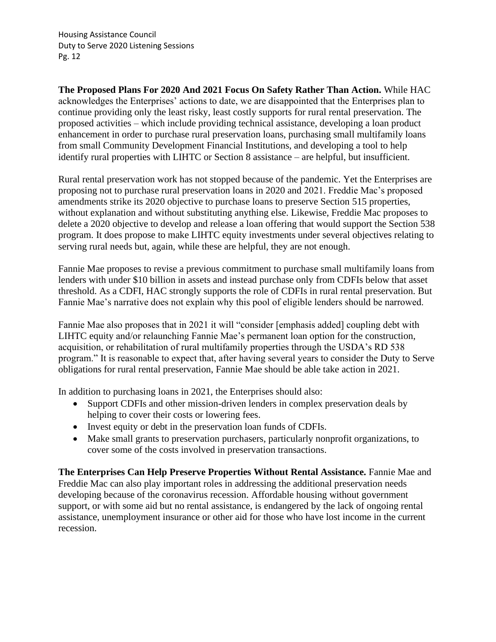**The Proposed Plans For 2020 And 2021 Focus On Safety Rather Than Action.** While HAC acknowledges the Enterprises' actions to date, we are disappointed that the Enterprises plan to continue providing only the least risky, least costly supports for rural rental preservation. The proposed activities – which include providing technical assistance, developing a loan product enhancement in order to purchase rural preservation loans, purchasing small multifamily loans from small Community Development Financial Institutions, and developing a tool to help identify rural properties with LIHTC or Section 8 assistance – are helpful, but insufficient.

Rural rental preservation work has not stopped because of the pandemic. Yet the Enterprises are proposing not to purchase rural preservation loans in 2020 and 2021. Freddie Mac's proposed amendments strike its 2020 objective to purchase loans to preserve Section 515 properties, without explanation and without substituting anything else. Likewise, Freddie Mac proposes to delete a 2020 objective to develop and release a loan offering that would support the Section 538 program. It does propose to make LIHTC equity investments under several objectives relating to serving rural needs but, again, while these are helpful, they are not enough.

Fannie Mae proposes to revise a previous commitment to purchase small multifamily loans from lenders with under \$10 billion in assets and instead purchase only from CDFIs below that asset threshold. As a CDFI, HAC strongly supports the role of CDFIs in rural rental preservation. But Fannie Mae's narrative does not explain why this pool of eligible lenders should be narrowed.

Fannie Mae also proposes that in 2021 it will "consider [emphasis added] coupling debt with LIHTC equity and/or relaunching Fannie Mae's permanent loan option for the construction, acquisition, or rehabilitation of rural multifamily properties through the USDA's RD 538 program." It is reasonable to expect that, after having several years to consider the Duty to Serve obligations for rural rental preservation, Fannie Mae should be able take action in 2021.

In addition to purchasing loans in 2021, the Enterprises should also:

- Support CDFIs and other mission-driven lenders in complex preservation deals by helping to cover their costs or lowering fees.
- Invest equity or debt in the preservation loan funds of CDFIs.
- Make small grants to preservation purchasers, particularly nonprofit organizations, to cover some of the costs involved in preservation transactions.

**The Enterprises Can Help Preserve Properties Without Rental Assistance.** Fannie Mae and Freddie Mac can also play important roles in addressing the additional preservation needs developing because of the coronavirus recession. Affordable housing without government support, or with some aid but no rental assistance, is endangered by the lack of ongoing rental assistance, unemployment insurance or other aid for those who have lost income in the current recession.